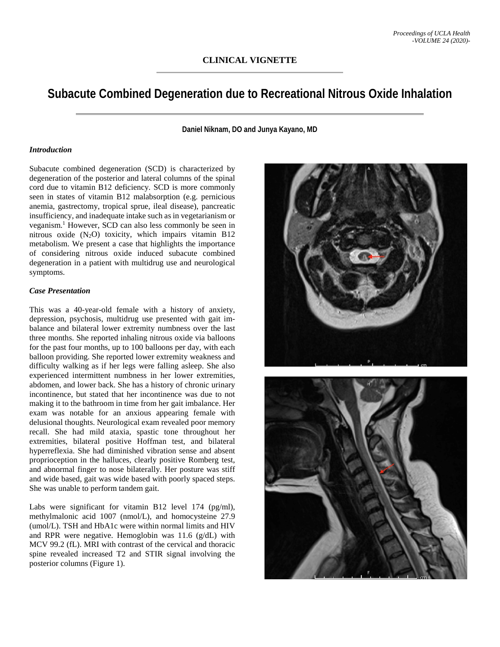# **Subacute Combined Degeneration due to Recreational Nitrous Oxide Inhalation**

**Daniel Niknam, DO and Junya Kayano, MD**

#### *Introduction*

Subacute combined degeneration (SCD) is characterized by degeneration of the posterior and lateral columns of the spinal cord due to vitamin B12 deficiency. SCD is more commonly seen in states of vitamin B12 malabsorption (e.g. pernicious anemia, gastrectomy, tropical sprue, ileal disease), pancreatic insufficiency, and inadequate intake such as in vegetarianism or veganism.1 However, SCD can also less commonly be seen in nitrous oxide  $(N_2O)$  toxicity, which impairs vitamin B12 metabolism. We present a case that highlights the importance of considering nitrous oxide induced subacute combined degeneration in a patient with multidrug use and neurological symptoms.

#### *Case Presentation*

This was a 40-year-old female with a history of anxiety, depression, psychosis, multidrug use presented with gait imbalance and bilateral lower extremity numbness over the last three months. She reported inhaling nitrous oxide via balloons for the past four months, up to 100 balloons per day, with each balloon providing. She reported lower extremity weakness and difficulty walking as if her legs were falling asleep. She also experienced intermittent numbness in her lower extremities, abdomen, and lower back. She has a history of chronic urinary incontinence, but stated that her incontinence was due to not making it to the bathroom in time from her gait imbalance. Her exam was notable for an anxious appearing female with delusional thoughts. Neurological exam revealed poor memory recall. She had mild ataxia, spastic tone throughout her extremities, bilateral positive Hoffman test, and bilateral hyperreflexia. She had diminished vibration sense and absent proprioception in the halluces, clearly positive Romberg test, and abnormal finger to nose bilaterally. Her posture was stiff and wide based, gait was wide based with poorly spaced steps. She was unable to perform tandem gait.

Labs were significant for vitamin B12 level 174 (pg/ml), methylmalonic acid 1007 (nmol/L), and homocysteine 27.9 (umol/L). TSH and HbA1c were within normal limits and HIV and RPR were negative. Hemoglobin was 11.6 (g/dL) with MCV 99.2 (fL). MRI with contrast of the cervical and thoracic spine revealed increased T2 and STIR signal involving the posterior columns (Figure 1).



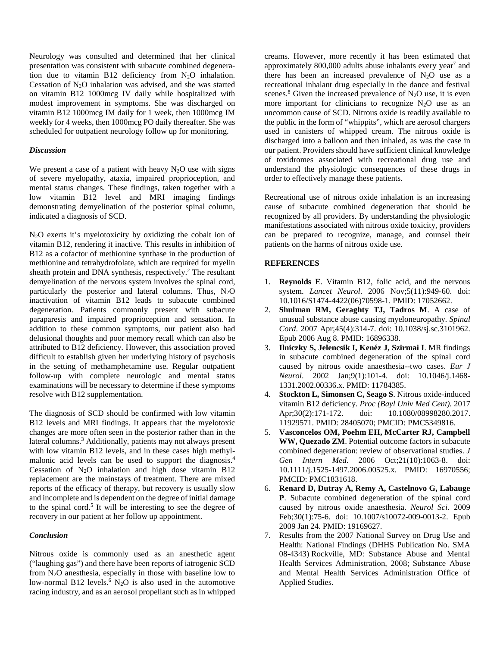Neurology was consulted and determined that her clinical presentation was consistent with subacute combined degeneration due to vitamin B12 deficiency from N2O inhalation. Cessation of N2O inhalation was advised, and she was started on vitamin B12 1000mcg IV daily while hospitalized with modest improvement in symptoms. She was discharged on vitamin B12 1000mcg IM daily for 1 week, then 1000mcg IM weekly for 4 weeks, then 1000mcg PO daily thereafter. She was scheduled for outpatient neurology follow up for monitoring.

### *Discussion*

We present a case of a patient with heavy  $N_2O$  use with signs of severe myelopathy, ataxia, impaired proprioception, and mental status changes. These findings, taken together with a low vitamin B12 level and MRI imaging findings demonstrating demyelination of the posterior spinal column, indicated a diagnosis of SCD.

 $N_2O$  exerts it's myelotoxicity by oxidizing the cobalt ion of vitamin B12, rendering it inactive. This results in inhibition of B12 as a cofactor of methionine synthase in the production of methionine and tetrahydrofolate, which are required for myelin sheath protein and DNA synthesis, respectively.<sup>2</sup> The resultant demyelination of the nervous system involves the spinal cord, particularly the posterior and lateral columns. Thus,  $N_2O$ inactivation of vitamin B12 leads to subacute combined degeneration. Patients commonly present with subacute paraparesis and impaired proprioception and sensation. In addition to these common symptoms, our patient also had delusional thoughts and poor memory recall which can also be attributed to B12 deficiency. However, this association proved difficult to establish given her underlying history of psychosis in the setting of methamphetamine use. Regular outpatient follow-up with complete neurologic and mental status examinations will be necessary to determine if these symptoms resolve with B12 supplementation.

The diagnosis of SCD should be confirmed with low vitamin B12 levels and MRI findings. It appears that the myelotoxic changes are more often seen in the posterior rather than in the lateral columns.<sup>3</sup> Additionally, patients may not always present with low vitamin B12 levels, and in these cases high methylmalonic acid levels can be used to support the diagnosis.4 Cessation of  $N_2O$  inhalation and high dose vitamin B12 replacement are the mainstays of treatment. There are mixed reports of the efficacy of therapy, but recovery is usually slow and incomplete and is dependent on the degree of initial damage to the spinal cord.<sup>5</sup> It will be interesting to see the degree of recovery in our patient at her follow up appointment.

### *Conclusion*

Nitrous oxide is commonly used as an anesthetic agent ("laughing gas") and there have been reports of iatrogenic SCD from  $N_2O$  anesthesia, especially in those with baseline low to low-normal B12 levels.<sup>6</sup> N<sub>2</sub>O is also used in the automotive racing industry, and as an aerosol propellant such as in whipped

creams. However, more recently it has been estimated that approximately  $800,000$  adults abuse inhalants every year<sup>7</sup> and there has been an increased prevalence of  $N_2O$  use as a recreational inhalant drug especially in the dance and festival scenes.<sup>8</sup> Given the increased prevalence of  $N_2O$  use, it is even more important for clinicians to recognize  $N_2O$  use as an uncommon cause of SCD. Nitrous oxide is readily available to the public in the form of "whippits", which are aerosol chargers used in canisters of whipped cream. The nitrous oxide is discharged into a balloon and then inhaled, as was the case in our patient. Providers should have sufficient clinical knowledge of toxidromes associated with recreational drug use and understand the physiologic consequences of these drugs in order to effectively manage these patients.

Recreational use of nitrous oxide inhalation is an increasing cause of subacute combined degeneration that should be recognized by all providers. By understanding the physiologic manifestations associated with nitrous oxide toxicity, providers can be prepared to recognize, manage, and counsel their patients on the harms of nitrous oxide use.

## **REFERENCES**

- 1. **Reynolds E**. Vitamin B12, folic acid, and the nervous system. *Lancet Neurol*. 2006 Nov;5(11):949-60. doi: 10.1016/S1474-4422(06)70598-1. PMID: 17052662.
- 2. **Shulman RM, Geraghty TJ, Tadros M**. A case of unusual substance abuse causing myeloneuropathy. *Spinal Cord*. 2007 Apr;45(4):314-7. doi: 10.1038/sj.sc.3101962. Epub 2006 Aug 8. PMID: 16896338.
- 3. **Ilniczky S, Jelencsik I, Kenéz J, Szirmai I**. MR findings in subacute combined degeneration of the spinal cord caused by nitrous oxide anaesthesia--two cases. *Eur J Neurol*. 2002 Jan;9(1):101-4. doi: 10.1046/j.1468- 1331.2002.00336.x. PMID: 11784385.
- 4. **Stockton L, Simonsen C, Seago S**. Nitrous oxide-induced vitamin B12 deficiency. *Proc (Bayl Univ Med Cent).* 2017 Apr;30(2):171-172. doi: 10.1080/08998280.2017. 11929571. PMID: 28405070; PMCID: PMC5349816.
- 5. **Vasconcelos OM, Poehm EH, McCarter RJ, Campbell WW, Quezado ZM**. Potential outcome factors in subacute combined degeneration: review of observational studies. *J Gen Intern Med.* 2006 Oct;21(10):1063-8. doi: 10.1111/j.1525-1497.2006.00525.x. PMID: 16970556; PMCID: PMC1831618.
- 6. **Renard D, Dutray A, Remy A, Castelnovo G, Labauge P**. Subacute combined degeneration of the spinal cord caused by nitrous oxide anaesthesia. *Neurol Sci*. 2009 Feb;30(1):75-6. doi: 10.1007/s10072-009-0013-2. Epub 2009 Jan 24. PMID: 19169627.
- 7. Results from the 2007 National Survey on Drug Use and Health: National Findings (DHHS Publication No. SMA 08-4343) Rockville, MD: Substance Abuse and Mental Health Services Administration, 2008; Substance Abuse and Mental Health Services Administration Office of Applied Studies.